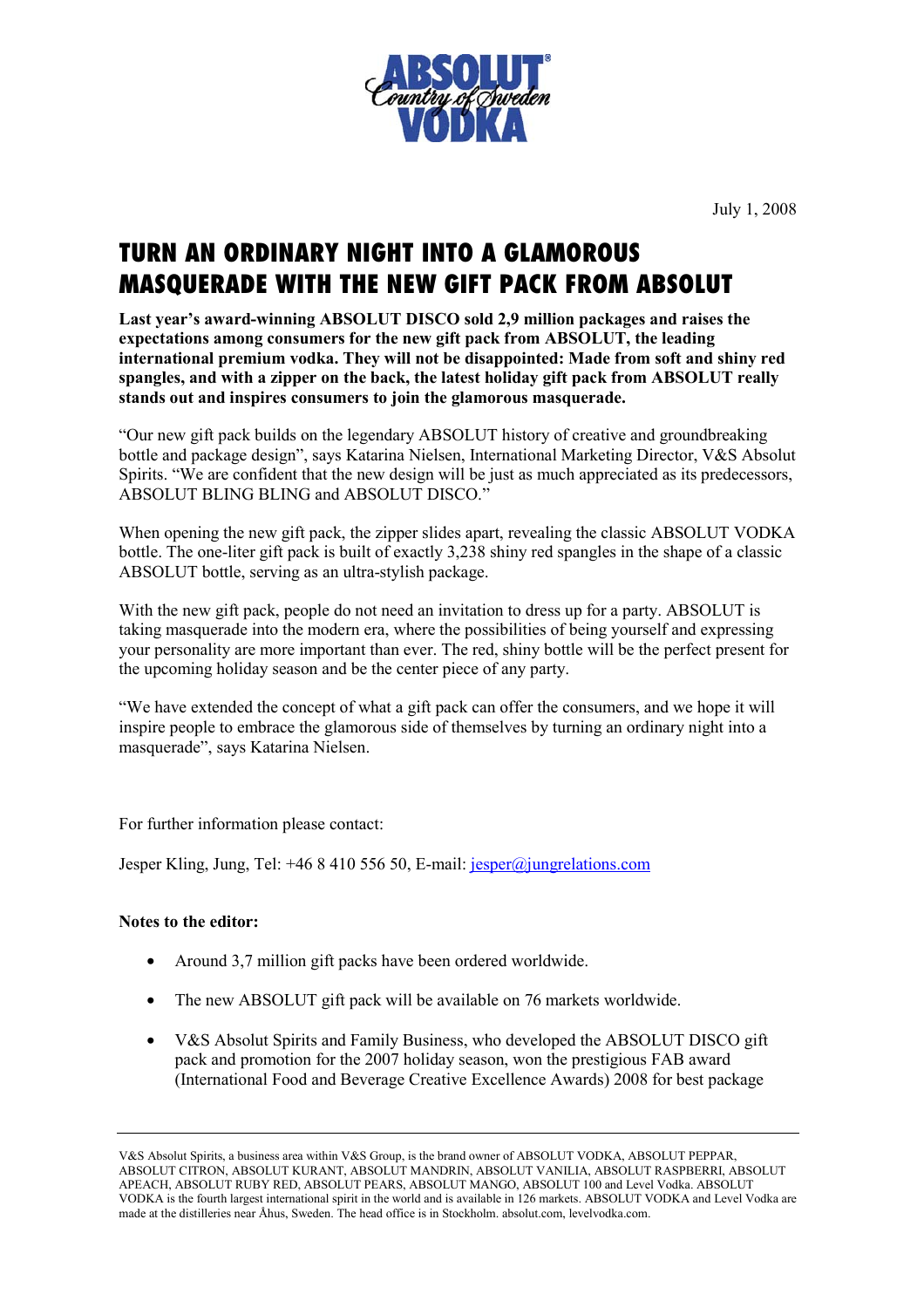

July 1, 2008

## TURN AN ORDINARY NIGHT INTO A GLAMOROUS MASQUERADE WITH THE NEW GIFT PACK FROM ABSOLUT

**Last year's award-winning ABSOLUT DISCO sold 2,9 million packages and raises the expectations among consumers for the new gift pack from ABSOLUT, the leading international premium vodka. They will not be disappointed: Made from soft and shiny red spangles, and with a zipper on the back, the latest holiday gift pack from ABSOLUT really stands out and inspires consumers to join the glamorous masquerade.** 

"Our new gift pack builds on the legendary ABSOLUT history of creative and groundbreaking bottle and package design", says Katarina Nielsen, International Marketing Director, V&S Absolut Spirits. "We are confident that the new design will be just as much appreciated as its predecessors, ABSOLUT BLING BLING and ABSOLUT DISCO."

When opening the new gift pack, the zipper slides apart, revealing the classic ABSOLUT VODKA bottle. The one-liter gift pack is built of exactly 3,238 shiny red spangles in the shape of a classic ABSOLUT bottle, serving as an ultra-stylish package.

With the new gift pack, people do not need an invitation to dress up for a party. ABSOLUT is taking masquerade into the modern era, where the possibilities of being yourself and expressing your personality are more important than ever. The red, shiny bottle will be the perfect present for the upcoming holiday season and be the center piece of any party.

"We have extended the concept of what a gift pack can offer the consumers, and we hope it will inspire people to embrace the glamorous side of themselves by turning an ordinary night into a masquerade", says Katarina Nielsen.

For further information please contact:

Jesper Kling, Jung, Tel: +46 8 410 556 50, E-mail: jesper@jungrelations.com

## **Notes to the editor:**

- Around 3.7 million gift packs have been ordered worldwide.
- The new ABSOLUT gift pack will be available on 76 markets worldwide.
- V&S Absolut Spirits and Family Business, who developed the ABSOLUT DISCO gift pack and promotion for the 2007 holiday season, won the prestigious FAB award (International Food and Beverage Creative Excellence Awards) 2008 for best package

V&S Absolut Spirits, a business area within V&S Group, is the brand owner of ABSOLUT VODKA, ABSOLUT PEPPAR, ABSOLUT CITRON, ABSOLUT KURANT, ABSOLUT MANDRIN, ABSOLUT VANILIA, ABSOLUT RASPBERRI, ABSOLUT APEACH, ABSOLUT RUBY RED, ABSOLUT PEARS, ABSOLUT MANGO, ABSOLUT 100 and Level Vodka. ABSOLUT VODKA is the fourth largest international spirit in the world and is available in 126 markets. ABSOLUT VODKA and Level Vodka are made at the distilleries near Åhus, Sweden. The head office is in Stockholm. absolut.com, levelvodka.com.